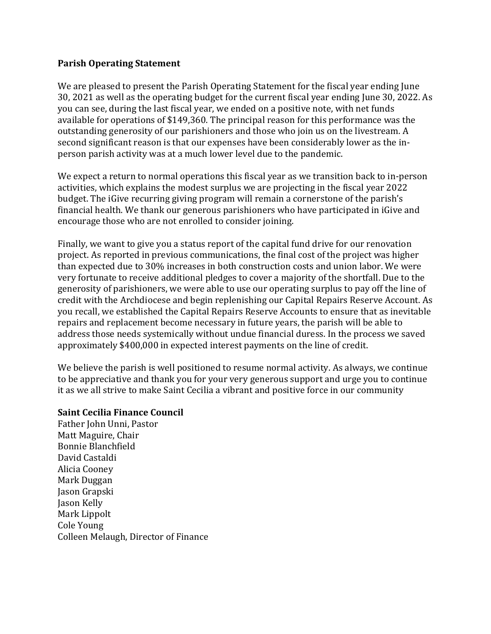## **Parish Operating Statement**

We are pleased to present the Parish Operating Statement for the fiscal year ending June 30, 2021 as well as the operating budget for the current fiscal year ending June 30, 2022. As you can see, during the last fiscal year, we ended on a positive note, with net funds available for operations of \$149,360. The principal reason for this performance was the outstanding generosity of our parishioners and those who join us on the livestream. A second significant reason is that our expenses have been considerably lower as the inperson parish activity was at a much lower level due to the pandemic.

We expect a return to normal operations this fiscal year as we transition back to in-person activities, which explains the modest surplus we are projecting in the fiscal year 2022 budget. The iGive recurring giving program will remain a cornerstone of the parish's financial health. We thank our generous parishioners who have participated in iGive and encourage those who are not enrolled to consider joining.

Finally, we want to give you a status report of the capital fund drive for our renovation project. As reported in previous communications, the final cost of the project was higher than expected due to 30% increases in both construction costs and union labor. We were very fortunate to receive additional pledges to cover a majority of the shortfall. Due to the generosity of parishioners, we were able to use our operating surplus to pay off the line of credit with the Archdiocese and begin replenishing our Capital Repairs Reserve Account. As you recall, we established the Capital Repairs Reserve Accounts to ensure that as inevitable repairs and replacement become necessary in future years, the parish will be able to address those needs systemically without undue financial duress. In the process we saved approximately \$400,000 in expected interest payments on the line of credit.

We believe the parish is well positioned to resume normal activity. As always, we continue to be appreciative and thank you for your very generous support and urge you to continue it as we all strive to make Saint Cecilia a vibrant and positive force in our community

## **Saint Cecilia Finance Council**

Father John Unni, Pastor Matt Maguire, Chair Bonnie Blanchfield David Castaldi Alicia Cooney Mark Duggan Jason Grapski Jason Kelly Mark Lippolt Cole Young Colleen Melaugh, Director of Finance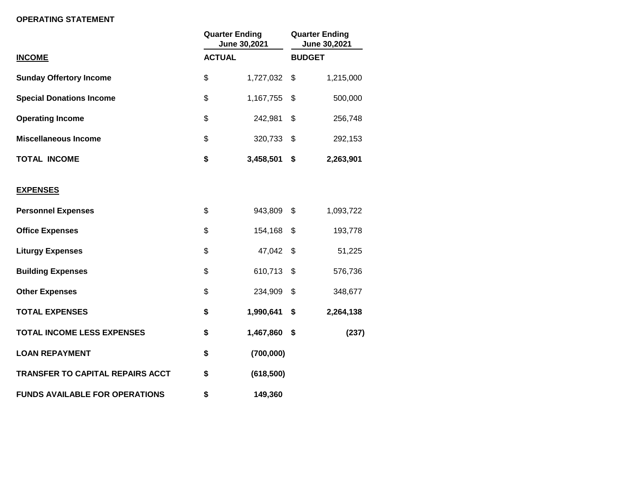## **OPERATING STATEMENT**

|                                         | <b>Quarter Ending</b><br>June 30,2021<br><b>ACTUAL</b> |            | <b>Quarter Ending</b><br>June 30,2021<br><b>BUDGET</b> |           |
|-----------------------------------------|--------------------------------------------------------|------------|--------------------------------------------------------|-----------|
| <b>INCOME</b>                           |                                                        |            |                                                        |           |
| <b>Sunday Offertory Income</b>          | \$                                                     | 1,727,032  | \$                                                     | 1,215,000 |
| <b>Special Donations Income</b>         | \$                                                     | 1,167,755  | \$                                                     | 500,000   |
| <b>Operating Income</b>                 | \$                                                     | 242,981    | \$                                                     | 256,748   |
| <b>Miscellaneous Income</b>             | \$                                                     | 320,733    | \$                                                     | 292,153   |
| <b>TOTAL INCOME</b>                     | \$                                                     | 3,458,501  | \$                                                     | 2,263,901 |
| <b>EXPENSES</b>                         |                                                        |            |                                                        |           |
| <b>Personnel Expenses</b>               | \$                                                     | 943,809    | $\mathfrak{S}$                                         | 1,093,722 |
| <b>Office Expenses</b>                  | \$                                                     | 154,168    | \$                                                     | 193,778   |
| <b>Liturgy Expenses</b>                 | \$                                                     | 47,042     | \$                                                     | 51,225    |
| <b>Building Expenses</b>                | \$                                                     | 610,713    | \$                                                     | 576,736   |
| <b>Other Expenses</b>                   | \$                                                     | 234,909    | \$                                                     | 348,677   |
| <b>TOTAL EXPENSES</b>                   | \$                                                     | 1,990,641  | \$                                                     | 2,264,138 |
| <b>TOTAL INCOME LESS EXPENSES</b>       | \$                                                     | 1,467,860  | \$                                                     | (237)     |
| <b>LOAN REPAYMENT</b>                   | \$                                                     | (700,000)  |                                                        |           |
| <b>TRANSFER TO CAPITAL REPAIRS ACCT</b> | \$                                                     | (618, 500) |                                                        |           |
| <b>FUNDS AVAILABLE FOR OPERATIONS</b>   | \$                                                     | 149,360    |                                                        |           |